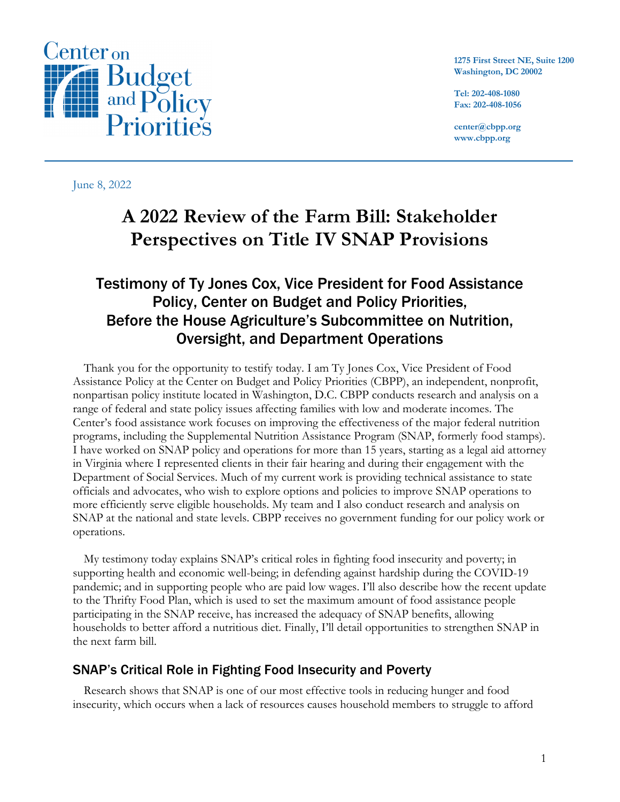

**1275 First Street NE, Suite 1200 Washington, DC 20002**

**Tel: 202-408-1080 Fax: 202-408-1056**

**center@cbpp.org www.cbpp.org**

June 8, 2022

# **A 2022 Review of the Farm Bill: Stakeholder Perspectives on Title IV SNAP Provisions**

# Testimony of Ty Jones Cox, Vice President for Food Assistance Policy, Center on Budget and Policy Priorities, Before the House Agriculture's Subcommittee on Nutrition, Oversight, and Department Operations

Thank you for the opportunity to testify today. I am Ty Jones Cox, Vice President of Food Assistance Policy at the Center on Budget and Policy Priorities (CBPP), an independent, nonprofit, nonpartisan policy institute located in Washington, D.C. CBPP conducts research and analysis on a range of federal and state policy issues affecting families with low and moderate incomes. The Center's food assistance work focuses on improving the effectiveness of the major federal nutrition programs, including the Supplemental Nutrition Assistance Program (SNAP, formerly food stamps). I have worked on SNAP policy and operations for more than 15 years, starting as a legal aid attorney in Virginia where I represented clients in their fair hearing and during their engagement with the Department of Social Services. Much of my current work is providing technical assistance to state officials and advocates, who wish to explore options and policies to improve SNAP operations to more efficiently serve eligible households. My team and I also conduct research and analysis on SNAP at the national and state levels. CBPP receives no government funding for our policy work or operations.

My testimony today explains SNAP's critical roles in fighting food insecurity and poverty; in supporting health and economic well-being; in defending against hardship during the COVID-19 pandemic; and in supporting people who are paid low wages. I'll also describe how the recent update to the Thrifty Food Plan, which is used to set the maximum amount of food assistance people participating in the SNAP receive, has increased the adequacy of SNAP benefits, allowing households to better afford a nutritious diet. Finally, I'll detail opportunities to strengthen SNAP in the next farm bill.

# SNAP's Critical Role in Fighting Food Insecurity and Poverty

Research shows that SNAP is one of our most effective tools in reducing hunger and food insecurity, which occurs when a lack of resources causes household members to struggle to afford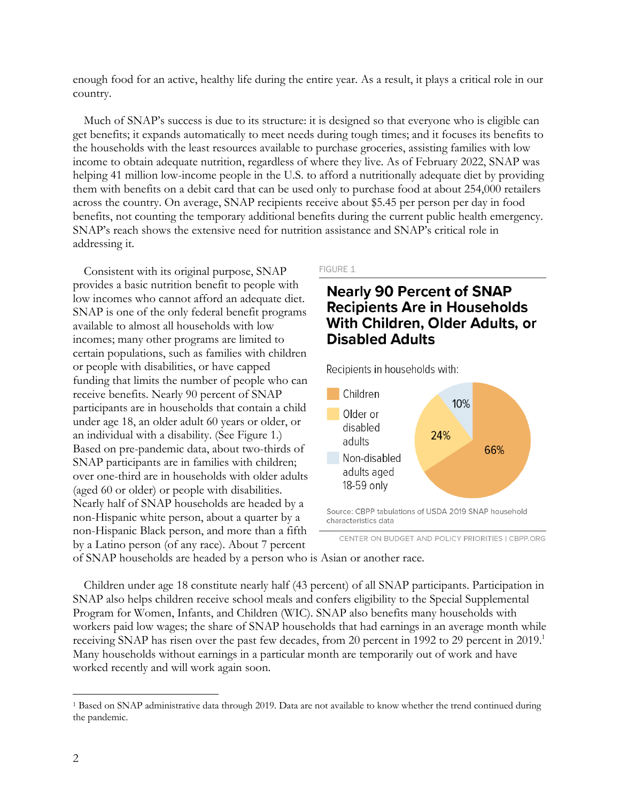enough food for an active, healthy life during the entire year. As a result, it plays a critical role in our country.

Much of SNAP's success is due to its structure: it is designed so that everyone who is eligible can get benefits; it expands automatically to meet needs during tough times; and it focuses its benefits to the households with the least resources available to purchase groceries, assisting families with low income to obtain adequate nutrition, regardless of where they live. As of February 2022, SNAP was helping 41 million low-income people in the U.S. to afford a nutritionally adequate diet by providing them with benefits on a debit card that can be used only to purchase food at about 254,000 retailers across the country. On average, SNAP recipients receive about \$5.45 per person per day in food benefits, not counting the temporary additional benefits during the current public health emergency. SNAP's reach shows the extensive need for nutrition assistance and SNAP's critical role in addressing it.

Consistent with its original purpose, SNAP provides a basic nutrition benefit to people with low incomes who cannot afford an adequate diet. SNAP is one of the only federal benefit programs available to almost all households with low incomes; many other programs are limited to certain populations, such as families with children or people with disabilities, or have capped funding that limits the number of people who can receive benefits. Nearly 90 percent of SNAP participants are in households that contain a child under age 18, an older adult 60 years or older, or an individual with a disability. (See Figure 1.) Based on pre-pandemic data, about two-thirds of SNAP participants are in families with children; over one-third are in households with older adults (aged 60 or older) or people with disabilities. Nearly half of SNAP households are headed by a non-Hispanic white person, about a quarter by a non-Hispanic Black person, and more than a fifth by a Latino person (of any race). About 7 percent

#### FIGURE 1

# **Nearly 90 Percent of SNAP Recipients Are in Households** With Children, Older Adults, or **Disabled Adults**

Recipients in households with:



CENTER ON BUDGET AND POLICY PRIORITIES | CBPP.ORG

of SNAP households are headed by a person who is Asian or another race.

Children under age 18 constitute nearly half (43 percent) of all SNAP participants. Participation in SNAP also helps children receive school meals and confers eligibility to the Special Supplemental Program for Women, Infants, and Children (WIC). SNAP also benefits many households with workers paid low wages; the share of SNAP households that had earnings in an average month while receiving SNAP has risen over the past few decades, from 20 percent in 1992 to 29 percent in 2019.<sup>1</sup> Many households without earnings in a particular month are temporarily out of work and have worked recently and will work again soon.

<sup>1</sup> Based on SNAP administrative data through 2019. Data are not available to know whether the trend continued during the pandemic.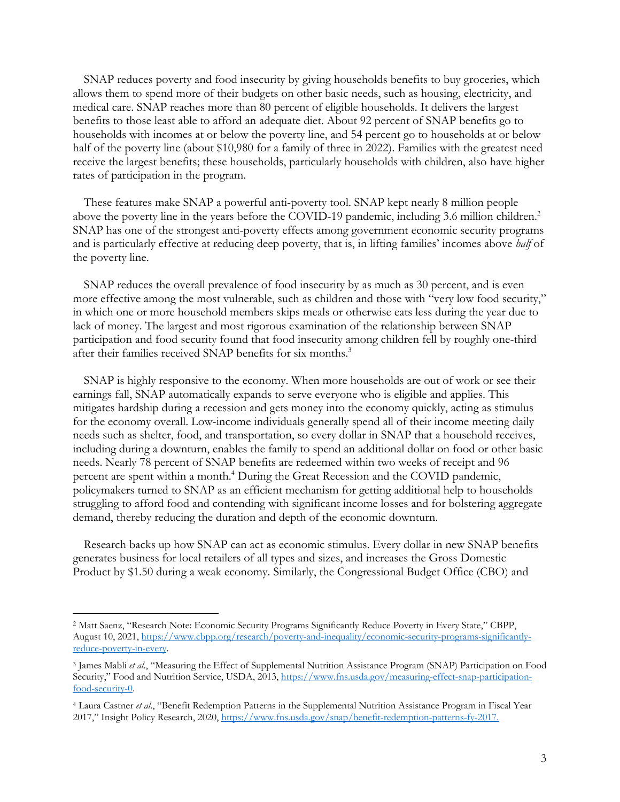SNAP reduces poverty and food insecurity by giving households benefits to buy groceries, which allows them to spend more of their budgets on other basic needs, such as housing, electricity, and medical care. SNAP reaches more than 80 percent of eligible households. It delivers the largest benefits to those least able to afford an adequate diet. About 92 percent of SNAP benefits go to households with incomes at or below the poverty line, and 54 percent go to households at or below half of the poverty line (about \$10,980 for a family of three in 2022). Families with the greatest need receive the largest benefits; these households, particularly households with children, also have higher rates of participation in the program.

These features make SNAP a powerful anti-poverty tool. SNAP kept nearly 8 million people above the poverty line in the years before the COVID-19 pandemic, including 3.6 million children.<sup>2</sup> SNAP has one of the strongest anti-poverty effects among government economic security programs and is particularly effective at reducing deep poverty, that is, in lifting families' incomes above *half* of the poverty line.

SNAP reduces the overall prevalence of food insecurity by as much as 30 percent, and is even more effective among the most vulnerable, such as children and those with "very low food security," in which one or more household members skips meals or otherwise eats less during the year due to lack of money. The largest and most rigorous examination of the relationship between SNAP participation and food security found that food insecurity among children fell by roughly one-third after their families received SNAP benefits for six months.<sup>3</sup>

SNAP is highly responsive to the economy. When more households are out of work or see their earnings fall, SNAP automatically expands to serve everyone who is eligible and applies. This mitigates hardship during a recession and gets money into the economy quickly, acting as stimulus for the economy overall. Low-income individuals generally spend all of their income meeting daily needs such as shelter, food, and transportation, so every dollar in SNAP that a household receives, including during a downturn, enables the family to spend an additional dollar on food or other basic needs. Nearly 78 percent of SNAP benefits are redeemed within two weeks of receipt and 96 percent are spent within a month.4 During the Great Recession and the COVID pandemic, policymakers turned to SNAP as an efficient mechanism for getting additional help to households struggling to afford food and contending with significant income losses and for bolstering aggregate demand, thereby reducing the duration and depth of the economic downturn.

Research backs up how SNAP can act as economic stimulus. Every dollar in new SNAP benefits generates business for local retailers of all types and sizes, and increases the Gross Domestic Product by \$1.50 during a weak economy. Similarly, the Congressional Budget Office (CBO) and

<sup>2</sup> Matt Saenz, "Research Note: Economic Security Programs Significantly Reduce Poverty in Every State," CBPP, August 10, 2021, https://www.cbpp.org/research/poverty-and-inequality/economic-security-programs-significantlyreduce-poverty-in-every.

<sup>3</sup> James Mabli *et al*., "Measuring the Effect of Supplemental Nutrition Assistance Program (SNAP) Participation on Food Security," Food and Nutrition Service, USDA, 2013, https://www.fns.usda.gov/measuring-effect-snap-participationfood-security-0.

<sup>4</sup> Laura Castner *et al*., "Benefit Redemption Patterns in the Supplemental Nutrition Assistance Program in Fiscal Year 2017," Insight Policy Research, 2020, https://www.fns.usda.gov/snap/benefit-redemption-patterns-fy-2017.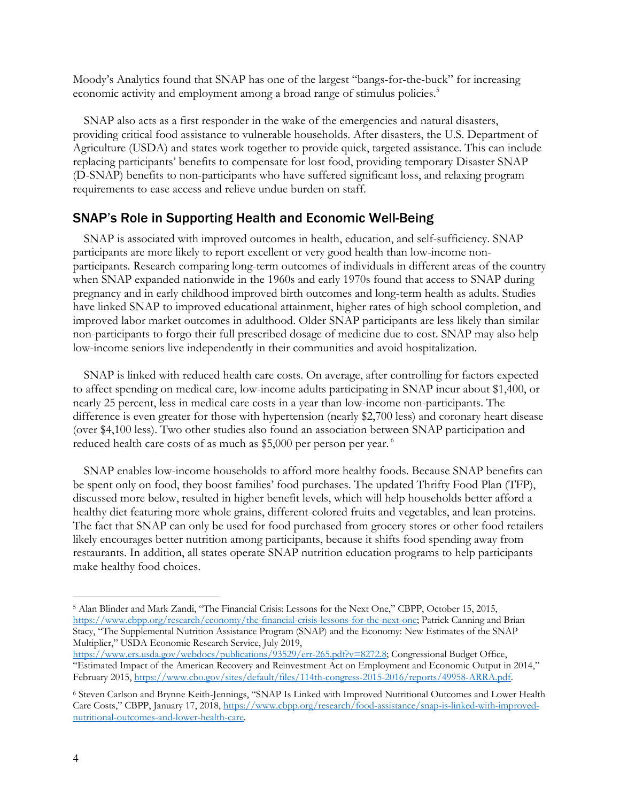Moody's Analytics found that SNAP has one of the largest "bangs-for-the-buck" for increasing economic activity and employment among a broad range of stimulus policies.<sup>5</sup>

SNAP also acts as a first responder in the wake of the emergencies and natural disasters, providing critical food assistance to vulnerable households. After disasters, the U.S. Department of Agriculture (USDA) and states work together to provide quick, targeted assistance. This can include replacing participants' benefits to compensate for lost food, providing temporary Disaster SNAP (D-SNAP) benefits to non-participants who have suffered significant loss, and relaxing program requirements to ease access and relieve undue burden on staff.

# SNAP's Role in Supporting Health and Economic Well-Being

SNAP is associated with improved outcomes in health, education, and self-sufficiency. SNAP participants are more likely to report excellent or very good health than low-income nonparticipants. Research comparing long-term outcomes of individuals in different areas of the country when SNAP expanded nationwide in the 1960s and early 1970s found that access to SNAP during pregnancy and in early childhood improved birth outcomes and long-term health as adults. Studies have linked SNAP to improved educational attainment, higher rates of high school completion, and improved labor market outcomes in adulthood. Older SNAP participants are less likely than similar non-participants to forgo their full prescribed dosage of medicine due to cost. SNAP may also help low-income seniors live independently in their communities and avoid hospitalization.

SNAP is linked with reduced health care costs. On average, after controlling for factors expected to affect spending on medical care, low-income adults participating in SNAP incur about \$1,400, or nearly 25 percent, less in medical care costs in a year than low-income non-participants. The difference is even greater for those with hypertension (nearly \$2,700 less) and coronary heart disease (over \$4,100 less). Two other studies also found an association between SNAP participation and reduced health care costs of as much as \$5,000 per person per year.<sup>6</sup>

SNAP enables low-income households to afford more healthy foods. Because SNAP benefits can be spent only on food, they boost families' food purchases. The updated Thrifty Food Plan (TFP), discussed more below, resulted in higher benefit levels, which will help households better afford a healthy diet featuring more whole grains, different-colored fruits and vegetables, and lean proteins. The fact that SNAP can only be used for food purchased from grocery stores or other food retailers likely encourages better nutrition among participants, because it shifts food spending away from restaurants. In addition, all states operate SNAP nutrition education programs to help participants make healthy food choices.

<sup>5</sup> Alan Blinder and Mark Zandi, "The Financial Crisis: Lessons for the Next One," CBPP, October 15, 2015, https://www.cbpp.org/research/economy/the-financial-crisis-lessons-for-the-next-one; Patrick Canning and Brian Stacy, "The Supplemental Nutrition Assistance Program (SNAP) and the Economy: New Estimates of the SNAP Multiplier," USDA Economic Research Service, July 2019,

https://www.ers.usda.gov/webdocs/publications/93529/err-265.pdf?v=8272.8; Congressional Budget Office, "Estimated Impact of the American Recovery and Reinvestment Act on Employment and Economic Output in 2014," February 2015, https://www.cbo.gov/sites/default/files/114th-congress-2015-2016/reports/49958-ARRA.pdf.

<sup>6</sup> Steven Carlson and Brynne Keith-Jennings, "SNAP Is Linked with Improved Nutritional Outcomes and Lower Health Care Costs," CBPP, January 17, 2018, https://www.cbpp.org/research/food-assistance/snap-is-linked-with-improvednutritional-outcomes-and-lower-health-care.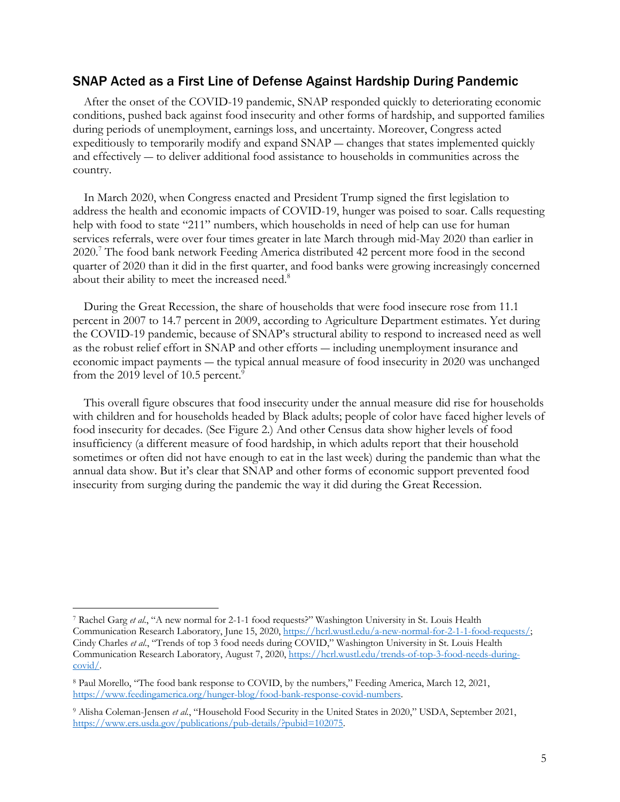# SNAP Acted as a First Line of Defense Against Hardship During Pandemic

After the onset of the COVID-19 pandemic, SNAP responded quickly to deteriorating economic conditions, pushed back against food insecurity and other forms of hardship, and supported families during periods of unemployment, earnings loss, and uncertainty. Moreover, Congress acted expeditiously to temporarily modify and expand SNAP ― changes that states implemented quickly and effectively ― to deliver additional food assistance to households in communities across the country.

In March 2020, when Congress enacted and President Trump signed the first legislation to address the health and economic impacts of COVID-19, hunger was poised to soar. Calls requesting help with food to state "211" numbers, which households in need of help can use for human services referrals, were over four times greater in late March through mid-May 2020 than earlier in 2020.7 The food bank network Feeding America distributed 42 percent more food in the second quarter of 2020 than it did in the first quarter, and food banks were growing increasingly concerned about their ability to meet the increased need.<sup>8</sup>

During the Great Recession, the share of households that were food insecure rose from 11.1 percent in 2007 to 14.7 percent in 2009, according to Agriculture Department estimates. Yet during the COVID-19 pandemic, because of SNAP's structural ability to respond to increased need as well as the robust relief effort in SNAP and other efforts ― including unemployment insurance and economic impact payments ― the typical annual measure of food insecurity in 2020 was unchanged from the 2019 level of 10.5 percent.<sup>9</sup>

This overall figure obscures that food insecurity under the annual measure did rise for households with children and for households headed by Black adults; people of color have faced higher levels of food insecurity for decades. (See Figure 2.) And other Census data show higher levels of food insufficiency (a different measure of food hardship, in which adults report that their household sometimes or often did not have enough to eat in the last week) during the pandemic than what the annual data show. But it's clear that SNAP and other forms of economic support prevented food insecurity from surging during the pandemic the way it did during the Great Recession.

<sup>7</sup> Rachel Garg *et al*., "A new normal for 2-1-1 food requests?" Washington University in St. Louis Health Communication Research Laboratory, June 15, 2020, https://hcrl.wustl.edu/a-new-normal-for-2-1-1-food-requests/; Cindy Charles *et al*., "Trends of top 3 food needs during COVID," Washington University in St. Louis Health Communication Research Laboratory, August 7, 2020, https://hcrl.wustl.edu/trends-of-top-3-food-needs-duringcovid/.

<sup>8</sup> Paul Morello, "The food bank response to COVID, by the numbers," Feeding America, March 12, 2021, https://www.feedingamerica.org/hunger-blog/food-bank-response-covid-numbers.

<sup>9</sup> Alisha Coleman-Jensen *et al.*, "Household Food Security in the United States in 2020," USDA, September 2021, https://www.ers.usda.gov/publications/pub-details/?pubid=102075.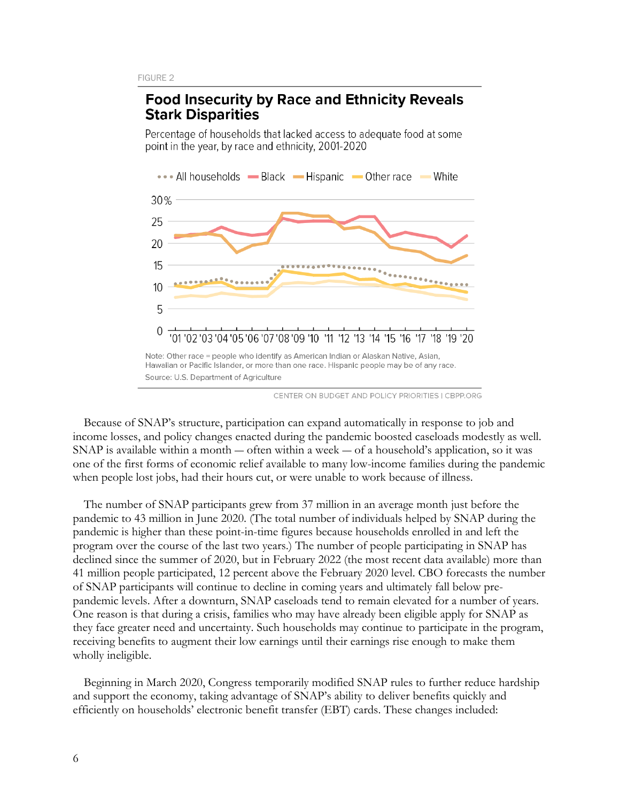# **Food Insecurity by Race and Ethnicity Reveals Stark Disparities**

Percentage of households that lacked access to adequate food at some point in the year, by race and ethnicity, 2001-2020



CENTER ON BUDGET AND POLICY PRIORITIES | CBPP.ORG

Because of SNAP's structure, participation can expand automatically in response to job and income losses, and policy changes enacted during the pandemic boosted caseloads modestly as well. SNAP is available within a month — often within a week — of a household's application, so it was one of the first forms of economic relief available to many low-income families during the pandemic when people lost jobs, had their hours cut, or were unable to work because of illness.

The number of SNAP participants grew from 37 million in an average month just before the pandemic to 43 million in June 2020. (The total number of individuals helped by SNAP during the pandemic is higher than these point-in-time figures because households enrolled in and left the program over the course of the last two years.) The number of people participating in SNAP has declined since the summer of 2020, but in February 2022 (the most recent data available) more than 41 million people participated, 12 percent above the February 2020 level. CBO forecasts the number of SNAP participants will continue to decline in coming years and ultimately fall below prepandemic levels. After a downturn, SNAP caseloads tend to remain elevated for a number of years. One reason is that during a crisis, families who may have already been eligible apply for SNAP as they face greater need and uncertainty. Such households may continue to participate in the program, receiving benefits to augment their low earnings until their earnings rise enough to make them wholly ineligible.

Beginning in March 2020, Congress temporarily modified SNAP rules to further reduce hardship and support the economy, taking advantage of SNAP's ability to deliver benefits quickly and efficiently on households' electronic benefit transfer (EBT) cards. These changes included: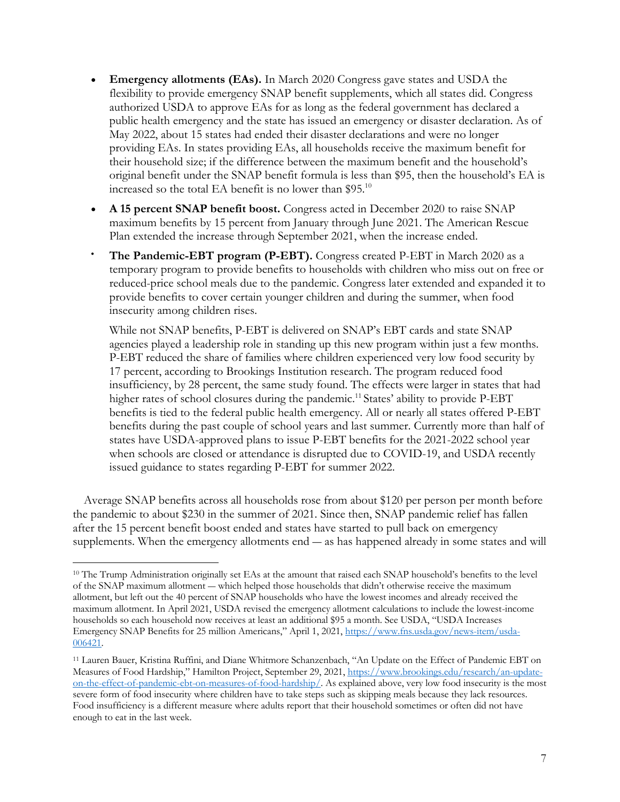- **Emergency allotments (EAs).** In March 2020 Congress gave states and USDA the flexibility to provide emergency SNAP benefit supplements, which all states did. Congress authorized USDA to approve EAs for as long as the federal government has declared a public health emergency and the state has issued an emergency or disaster declaration. As of May 2022, about 15 states had ended their disaster declarations and were no longer providing EAs. In states providing EAs, all households receive the maximum benefit for their household size; if the difference between the maximum benefit and the household's original benefit under the SNAP benefit formula is less than \$95, then the household's EA is increased so the total EA benefit is no lower than  $$95<sup>10</sup>$
- **A 15 percent SNAP benefit boost.** Congress acted in December 2020 to raise SNAP maximum benefits by 15 percent from January through June 2021. The American Rescue Plan extended the increase through September 2021, when the increase ended.
- **The Pandemic-EBT program (P-EBT).** Congress created P-EBT in March 2020 as a temporary program to provide benefits to households with children who miss out on free or reduced-price school meals due to the pandemic. Congress later extended and expanded it to provide benefits to cover certain younger children and during the summer, when food insecurity among children rises.

While not SNAP benefits, P-EBT is delivered on SNAP's EBT cards and state SNAP agencies played a leadership role in standing up this new program within just a few months. P-EBT reduced the share of families where children experienced very low food security by 17 percent, according to Brookings Institution research. The program reduced food insufficiency, by 28 percent, the same study found. The effects were larger in states that had higher rates of school closures during the pandemic.<sup>11</sup> States' ability to provide P-EBT benefits is tied to the federal public health emergency. All or nearly all states offered P-EBT benefits during the past couple of school years and last summer. Currently more than half of states have USDA-approved plans to issue P-EBT benefits for the 2021-2022 school year when schools are closed or attendance is disrupted due to COVID-19, and USDA recently issued guidance to states regarding P-EBT for summer 2022.

Average SNAP benefits across all households rose from about \$120 per person per month before the pandemic to about \$230 in the summer of 2021. Since then, SNAP pandemic relief has fallen after the 15 percent benefit boost ended and states have started to pull back on emergency supplements. When the emergency allotments end ― as has happened already in some states and will

<sup>&</sup>lt;sup>10</sup> The Trump Administration originally set EAs at the amount that raised each SNAP household's benefits to the level of the SNAP maximum allotment ― which helped those households that didn't otherwise receive the maximum allotment, but left out the 40 percent of SNAP households who have the lowest incomes and already received the maximum allotment. In April 2021, USDA revised the emergency allotment calculations to include the lowest-income households so each household now receives at least an additional \$95 a month. See USDA, "USDA Increases Emergency SNAP Benefits for 25 million Americans," April 1, 2021, https://www.fns.usda.gov/news-item/usda-006421.

<sup>11</sup> Lauren Bauer, Kristina Ruffini, and Diane Whitmore Schanzenbach, "An Update on the Effect of Pandemic EBT on Measures of Food Hardship," Hamilton Project, September 29, 2021, https://www.brookings.edu/research/an-updateon-the-effect-of-pandemic-ebt-on-measures-of-food-hardship/. As explained above, very low food insecurity is the most severe form of food insecurity where children have to take steps such as skipping meals because they lack resources. Food insufficiency is a different measure where adults report that their household sometimes or often did not have enough to eat in the last week.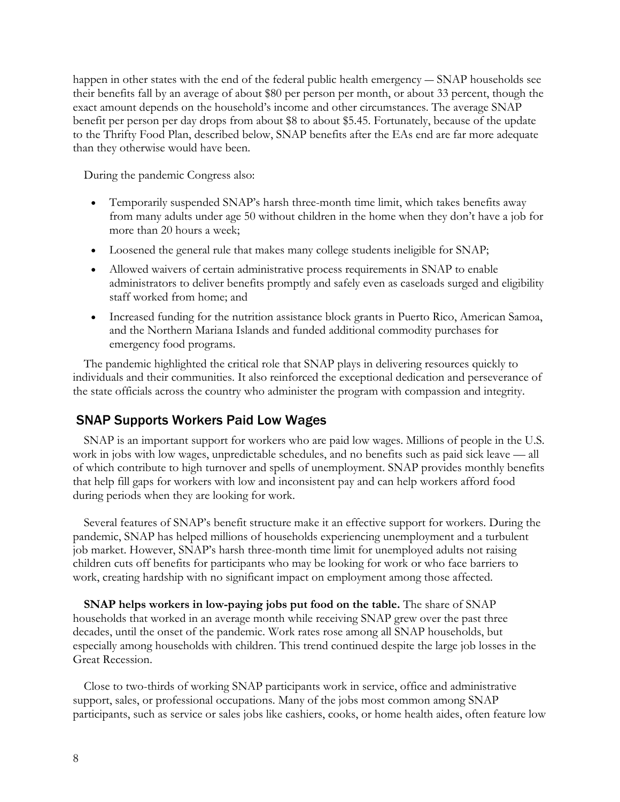happen in other states with the end of the federal public health emergency ― SNAP households see their benefits fall by an average of about \$80 per person per month, or about 33 percent, though the exact amount depends on the household's income and other circumstances. The average SNAP benefit per person per day drops from about \$8 to about \$5.45. Fortunately, because of the update to the Thrifty Food Plan, described below, SNAP benefits after the EAs end are far more adequate than they otherwise would have been.

During the pandemic Congress also:

- Temporarily suspended SNAP's harsh three-month time limit, which takes benefits away from many adults under age 50 without children in the home when they don't have a job for more than 20 hours a week;
- Loosened the general rule that makes many college students ineligible for SNAP;
- Allowed waivers of certain administrative process requirements in SNAP to enable administrators to deliver benefits promptly and safely even as caseloads surged and eligibility staff worked from home; and
- Increased funding for the nutrition assistance block grants in Puerto Rico, American Samoa, and the Northern Mariana Islands and funded additional commodity purchases for emergency food programs.

The pandemic highlighted the critical role that SNAP plays in delivering resources quickly to individuals and their communities. It also reinforced the exceptional dedication and perseverance of the state officials across the country who administer the program with compassion and integrity.

# SNAP Supports Workers Paid Low Wages

SNAP is an important support for workers who are paid low wages. Millions of people in the U.S. work in jobs with low wages, unpredictable schedules, and no benefits such as paid sick leave — all of which contribute to high turnover and spells of unemployment. SNAP provides monthly benefits that help fill gaps for workers with low and inconsistent pay and can help workers afford food during periods when they are looking for work.

Several features of SNAP's benefit structure make it an effective support for workers. During the pandemic, SNAP has helped millions of households experiencing unemployment and a turbulent job market. However, SNAP's harsh three-month time limit for unemployed adults not raising children cuts off benefits for participants who may be looking for work or who face barriers to work, creating hardship with no significant impact on employment among those affected.

**SNAP helps workers in low-paying jobs put food on the table.** The share of SNAP households that worked in an average month while receiving SNAP grew over the past three decades, until the onset of the pandemic. Work rates rose among all SNAP households, but especially among households with children. This trend continued despite the large job losses in the Great Recession.

Close to two-thirds of working SNAP participants work in service, office and administrative support, sales, or professional occupations. Many of the jobs most common among SNAP participants, such as service or sales jobs like cashiers, cooks, or home health aides, often feature low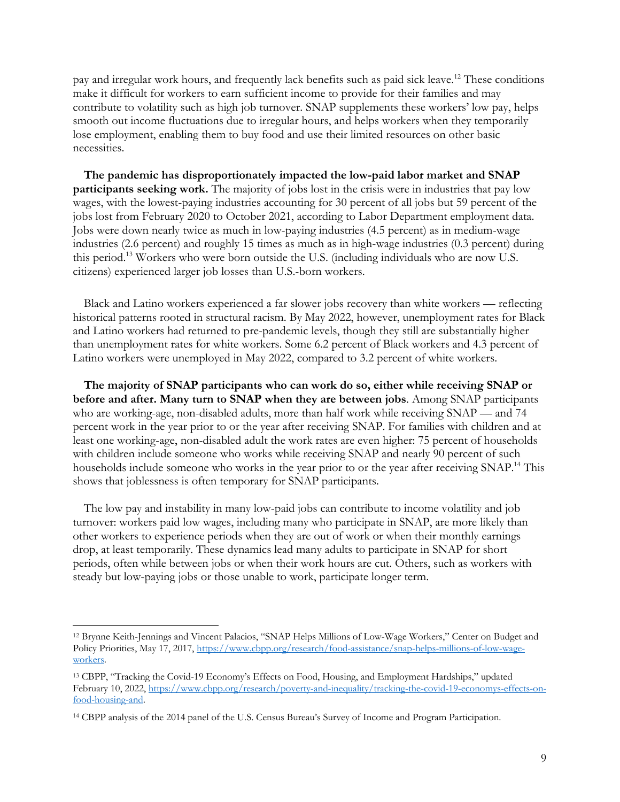pay and irregular work hours, and frequently lack benefits such as paid sick leave.12 These conditions make it difficult for workers to earn sufficient income to provide for their families and may contribute to volatility such as high job turnover. SNAP supplements these workers' low pay, helps smooth out income fluctuations due to irregular hours, and helps workers when they temporarily lose employment, enabling them to buy food and use their limited resources on other basic necessities.

**The pandemic has disproportionately impacted the low-paid labor market and SNAP participants seeking work.** The majority of jobs lost in the crisis were in industries that pay low wages, with the lowest-paying industries accounting for 30 percent of all jobs but 59 percent of the jobs lost from February 2020 to October 2021, according to Labor Department employment data. Jobs were down nearly twice as much in low-paying industries (4.5 percent) as in medium-wage industries (2.6 percent) and roughly 15 times as much as in high-wage industries (0.3 percent) during this period.13 Workers who were born outside the U.S. (including individuals who are now U.S. citizens) experienced larger job losses than U.S.-born workers.

Black and Latino workers experienced a far slower jobs recovery than white workers — reflecting historical patterns rooted in structural racism. By May 2022, however, unemployment rates for Black and Latino workers had returned to pre-pandemic levels, though they still are substantially higher than unemployment rates for white workers. Some 6.2 percent of Black workers and 4.3 percent of Latino workers were unemployed in May 2022, compared to 3.2 percent of white workers.

**The majority of SNAP participants who can work do so, either while receiving SNAP or before and after. Many turn to SNAP when they are between jobs**. Among SNAP participants who are working-age, non-disabled adults, more than half work while receiving SNAP — and 74 percent work in the year prior to or the year after receiving SNAP. For families with children and at least one working-age, non-disabled adult the work rates are even higher: 75 percent of households with children include someone who works while receiving SNAP and nearly 90 percent of such households include someone who works in the year prior to or the year after receiving SNAP.<sup>14</sup> This shows that joblessness is often temporary for SNAP participants.

The low pay and instability in many low-paid jobs can contribute to income volatility and job turnover: workers paid low wages, including many who participate in SNAP, are more likely than other workers to experience periods when they are out of work or when their monthly earnings drop, at least temporarily. These dynamics lead many adults to participate in SNAP for short periods, often while between jobs or when their work hours are cut. Others, such as workers with steady but low-paying jobs or those unable to work, participate longer term.

<sup>12</sup> Brynne Keith-Jennings and Vincent Palacios, "SNAP Helps Millions of Low-Wage Workers," Center on Budget and Policy Priorities, May 17, 2017, https://www.cbpp.org/research/food-assistance/snap-helps-millions-of-low-wageworkers.

<sup>13</sup> CBPP, "Tracking the Covid-19 Economy's Effects on Food, Housing, and Employment Hardships," updated February 10, 2022, https://www.cbpp.org/research/poverty-and-inequality/tracking-the-covid-19-economys-effects-onfood-housing-and.

<sup>14</sup> CBPP analysis of the 2014 panel of the U.S. Census Bureau's Survey of Income and Program Participation.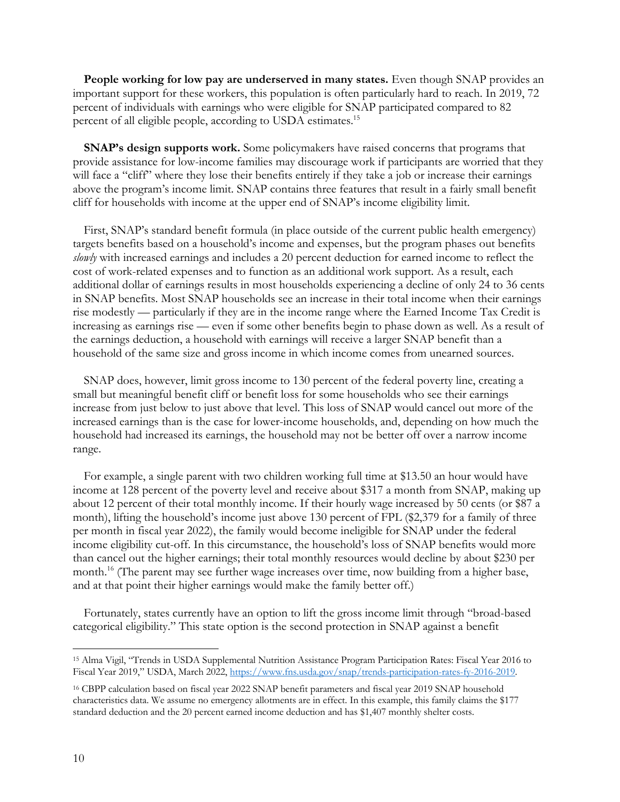**People working for low pay are underserved in many states.** Even though SNAP provides an important support for these workers, this population is often particularly hard to reach. In 2019, 72 percent of individuals with earnings who were eligible for SNAP participated compared to 82 percent of all eligible people, according to USDA estimates.<sup>15</sup>

**SNAP's design supports work.** Some policymakers have raised concerns that programs that provide assistance for low-income families may discourage work if participants are worried that they will face a "cliff" where they lose their benefits entirely if they take a job or increase their earnings above the program's income limit. SNAP contains three features that result in a fairly small benefit cliff for households with income at the upper end of SNAP's income eligibility limit.

First, SNAP's standard benefit formula (in place outside of the current public health emergency) targets benefits based on a household's income and expenses, but the program phases out benefits *slowly* with increased earnings and includes a 20 percent deduction for earned income to reflect the cost of work-related expenses and to function as an additional work support. As a result, each additional dollar of earnings results in most households experiencing a decline of only 24 to 36 cents in SNAP benefits. Most SNAP households see an increase in their total income when their earnings rise modestly — particularly if they are in the income range where the Earned Income Tax Credit is increasing as earnings rise — even if some other benefits begin to phase down as well. As a result of the earnings deduction, a household with earnings will receive a larger SNAP benefit than a household of the same size and gross income in which income comes from unearned sources.

SNAP does, however, limit gross income to 130 percent of the federal poverty line, creating a small but meaningful benefit cliff or benefit loss for some households who see their earnings increase from just below to just above that level. This loss of SNAP would cancel out more of the increased earnings than is the case for lower-income households, and, depending on how much the household had increased its earnings, the household may not be better off over a narrow income range.

For example, a single parent with two children working full time at \$13.50 an hour would have income at 128 percent of the poverty level and receive about \$317 a month from SNAP, making up about 12 percent of their total monthly income. If their hourly wage increased by 50 cents (or \$87 a month), lifting the household's income just above 130 percent of FPL (\$2,379 for a family of three per month in fiscal year 2022), the family would become ineligible for SNAP under the federal income eligibility cut-off. In this circumstance, the household's loss of SNAP benefits would more than cancel out the higher earnings; their total monthly resources would decline by about \$230 per month.<sup>16</sup> (The parent may see further wage increases over time, now building from a higher base, and at that point their higher earnings would make the family better off.)

Fortunately, states currently have an option to lift the gross income limit through "broad-based categorical eligibility." This state option is the second protection in SNAP against a benefit

<sup>15</sup> Alma Vigil, "Trends in USDA Supplemental Nutrition Assistance Program Participation Rates: Fiscal Year 2016 to Fiscal Year 2019," USDA, March 2022, https://www.fns.usda.gov/snap/trends-participation-rates-fy-2016-2019.

<sup>16</sup> CBPP calculation based on fiscal year 2022 SNAP benefit parameters and fiscal year 2019 SNAP household characteristics data. We assume no emergency allotments are in effect. In this example, this family claims the \$177 standard deduction and the 20 percent earned income deduction and has \$1,407 monthly shelter costs.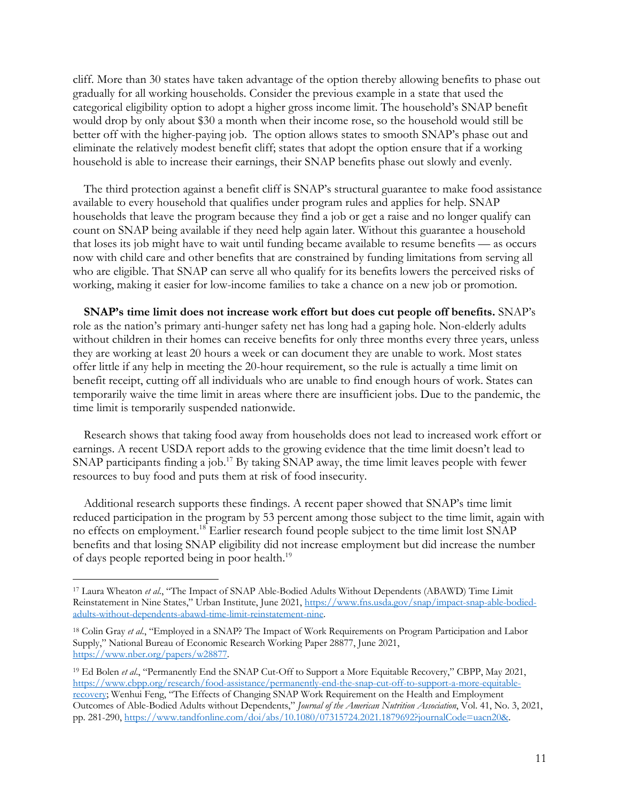cliff. More than 30 states have taken advantage of the option thereby allowing benefits to phase out gradually for all working households. Consider the previous example in a state that used the categorical eligibility option to adopt a higher gross income limit. The household's SNAP benefit would drop by only about \$30 a month when their income rose, so the household would still be better off with the higher-paying job. The option allows states to smooth SNAP's phase out and eliminate the relatively modest benefit cliff; states that adopt the option ensure that if a working household is able to increase their earnings, their SNAP benefits phase out slowly and evenly.

The third protection against a benefit cliff is SNAP's structural guarantee to make food assistance available to every household that qualifies under program rules and applies for help. SNAP households that leave the program because they find a job or get a raise and no longer qualify can count on SNAP being available if they need help again later. Without this guarantee a household that loses its job might have to wait until funding became available to resume benefits — as occurs now with child care and other benefits that are constrained by funding limitations from serving all who are eligible. That SNAP can serve all who qualify for its benefits lowers the perceived risks of working, making it easier for low-income families to take a chance on a new job or promotion.

**SNAP's time limit does not increase work effort but does cut people off benefits.** SNAP's role as the nation's primary anti-hunger safety net has long had a gaping hole. Non-elderly adults without children in their homes can receive benefits for only three months every three years, unless they are working at least 20 hours a week or can document they are unable to work. Most states offer little if any help in meeting the 20-hour requirement, so the rule is actually a time limit on benefit receipt, cutting off all individuals who are unable to find enough hours of work. States can temporarily waive the time limit in areas where there are insufficient jobs. Due to the pandemic, the time limit is temporarily suspended nationwide.

Research shows that taking food away from households does not lead to increased work effort or earnings. A recent USDA report adds to the growing evidence that the time limit doesn't lead to SNAP participants finding a job.<sup>17</sup> By taking SNAP away, the time limit leaves people with fewer resources to buy food and puts them at risk of food insecurity.

Additional research supports these findings. A recent paper showed that SNAP's time limit reduced participation in the program by 53 percent among those subject to the time limit, again with no effects on employment.<sup>18</sup> Earlier research found people subject to the time limit lost SNAP benefits and that losing SNAP eligibility did not increase employment but did increase the number of days people reported being in poor health. 19

<sup>17</sup> Laura Wheaton *et al*., "The Impact of SNAP Able-Bodied Adults Without Dependents (ABAWD) Time Limit Reinstatement in Nine States," Urban Institute, June 2021, https://www.fns.usda.gov/snap/impact-snap-able-bodiedadults-without-dependents-abawd-time-limit-reinstatement-nine.

<sup>18</sup> Colin Gray *et al*., "Employed in a SNAP? The Impact of Work Requirements on Program Participation and Labor Supply," National Bureau of Economic Research Working Paper 28877, June 2021, https://www.nber.org/papers/w28877.

<sup>19</sup> Ed Bolen *et al*., "Permanently End the SNAP Cut-Off to Support a More Equitable Recovery," CBPP, May 2021, https://www.cbpp.org/research/food-assistance/permanently-end-the-snap-cut-off-to-support-a-more-equitablerecovery; Wenhui Feng, "The Effects of Changing SNAP Work Requirement on the Health and Employment Outcomes of Able-Bodied Adults without Dependents," *Journal of the American Nutrition Association*, Vol. 41, No. 3, 2021, pp. 281-290, https://www.tandfonline.com/doi/abs/10.1080/07315724.2021.1879692?journalCode=uacn20&.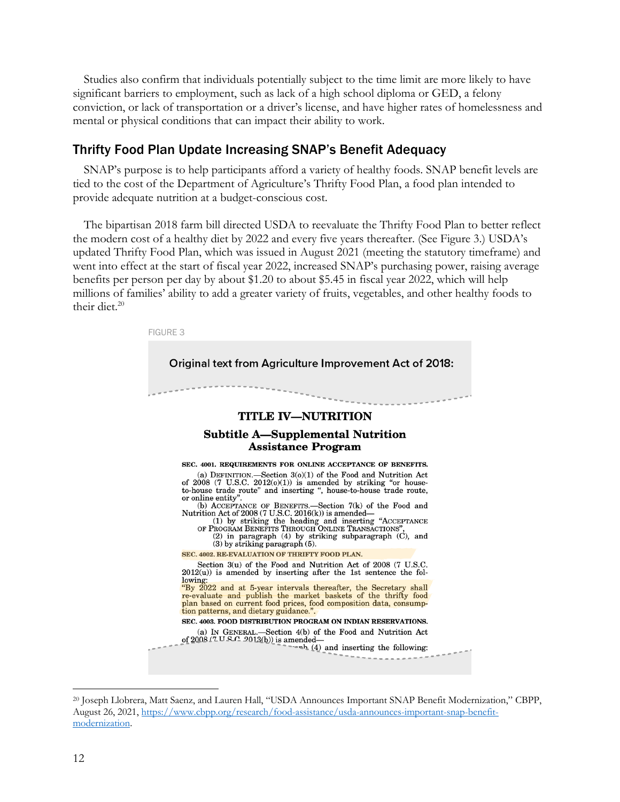Studies also confirm that individuals potentially subject to the time limit are more likely to have significant barriers to employment, such as lack of a high school diploma or GED, a felony conviction, or lack of transportation or a driver's license, and have higher rates of homelessness and mental or physical conditions that can impact their ability to work.

### Thrifty Food Plan Update Increasing SNAP's Benefit Adequacy

SNAP's purpose is to help participants afford a variety of healthy foods. SNAP benefit levels are tied to the cost of the Department of Agriculture's Thrifty Food Plan, a food plan intended to provide adequate nutrition at a budget-conscious cost.

The bipartisan 2018 farm bill directed USDA to reevaluate the Thrifty Food Plan to better reflect the modern cost of a healthy diet by 2022 and every five years thereafter. (See Figure 3.) USDA's updated Thrifty Food Plan, which was issued in August 2021 (meeting the statutory timeframe) and went into effect at the start of fiscal year 2022, increased SNAP's purchasing power, raising average benefits per person per day by about \$1.20 to about \$5.45 in fiscal year 2022, which will help millions of families' ability to add a greater variety of fruits, vegetables, and other healthy foods to their diet. $20$ 



<sup>20</sup> Joseph Llobrera, Matt Saenz, and Lauren Hall, "USDA Announces Important SNAP Benefit Modernization," CBPP, August 26, 2021, https://www.cbpp.org/research/food-assistance/usda-announces-important-snap-benefitmodernization.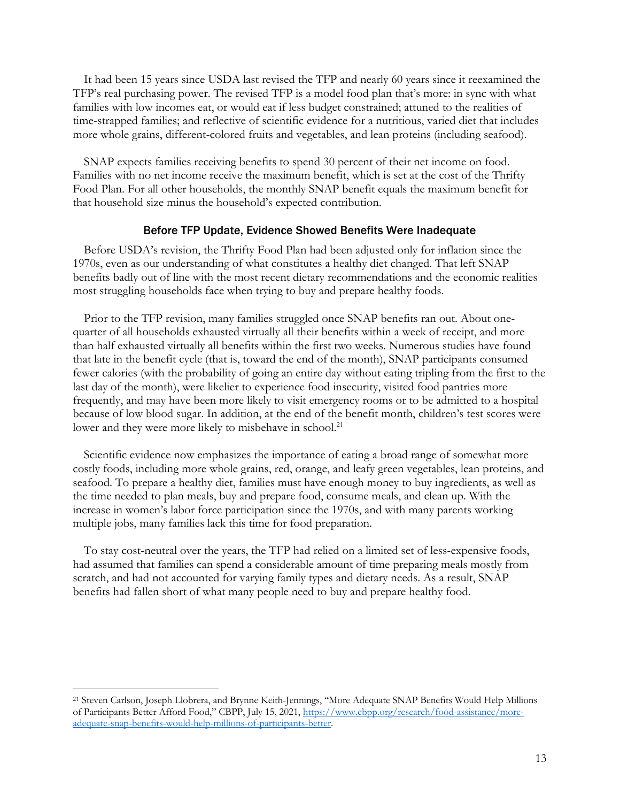It had been 15 years since USDA last revised the TFP and nearly 60 years since it reexamined the TFP's real purchasing power. The revised TFP is a model food plan that's more: in sync with what families with low incomes eat, or would eat if less budget constrained; attuned to the realities of time-strapped families; and reflective of scientific evidence for a nutritious, varied diet that includes more whole grains, different-colored fruits and vegetables, and lean proteins (including seafood).

SNAP expects families receiving benefits to spend 30 percent of their net income on food. Families with no net income receive the maximum benefit, which is set at the cost of the Thrifty Food Plan. For all other households, the monthly SNAP benefit equals the maximum benefit for that household size minus the household's expected contribution.

#### Before TFP Update, Evidence Showed Benefits Were Inadequate

Before USDA's revision, the Thrifty Food Plan had been adjusted only for inflation since the 1970s, even as our understanding of what constitutes a healthy diet changed. That left SNAP benefits badly out of line with the most recent dietary recommendations and the economic realities most struggling households face when trying to buy and prepare healthy foods.

Prior to the TFP revision, many families struggled once SNAP benefits ran out. About onequarter of all households exhausted virtually all their benefits within a week of receipt, and more than half exhausted virtually all benefits within the first two weeks. Numerous studies have found that late in the benefit cycle (that is, toward the end of the month), SNAP participants consumed fewer calories (with the probability of going an entire day without eating tripling from the first to the last day of the month), were likelier to experience food insecurity, visited food pantries more frequently, and may have been more likely to visit emergency rooms or to be admitted to a hospital because of low blood sugar. In addition, at the end of the benefit month, children's test scores were lower and they were more likely to misbehave in school.<sup>21</sup>

Scientific evidence now emphasizes the importance of eating a broad range of somewhat more costly foods, including more whole grains, red, orange, and leafy green vegetables, lean proteins, and seafood. To prepare a healthy diet, families must have enough money to buy ingredients, as well as the time needed to plan meals, buy and prepare food, consume meals, and clean up. With the increase in women's labor force participation since the 1970s, and with many parents working multiple jobs, many families lack this time for food preparation.

To stay cost-neutral over the years, the TFP had relied on a limited set of less-expensive foods, had assumed that families can spend a considerable amount of time preparing meals mostly from scratch, and had not accounted for varying family types and dietary needs. As a result, SNAP benefits had fallen short of what many people need to buy and prepare healthy food.

<sup>21</sup> Steven Carlson, Joseph Llobrera, and Brynne Keith-Jennings, "More Adequate SNAP Benefits Would Help Millions of Participants Better Afford Food," CBPP, July 15, 2021, https://www.cbpp.org/research/food-assistance/moreadequate-snap-benefits-would-help-millions-of-participants-better.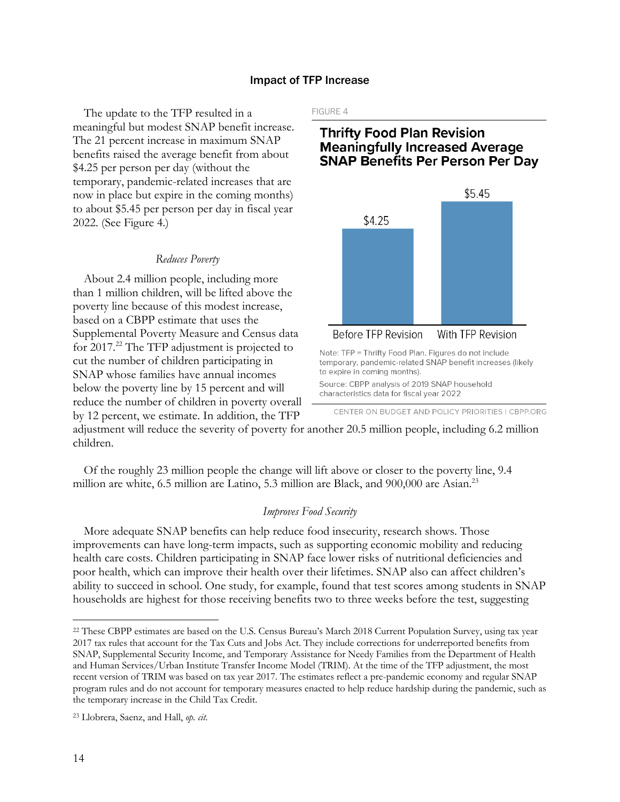#### Impact of TFP Increase

The update to the TFP resulted in a meaningful but modest SNAP benefit increase. The 21 percent increase in maximum SNAP benefits raised the average benefit from about \$4.25 per person per day (without the temporary, pandemic-related increases that are now in place but expire in the coming months) to about \$5.45 per person per day in fiscal year 2022. (See Figure 4.)

#### *Reduces Poverty*

About 2.4 million people, including more than 1 million children, will be lifted above the poverty line because of this modest increase, based on a CBPP estimate that uses the Supplemental Poverty Measure and Census data for 2017.22 The TFP adjustment is projected to cut the number of children participating in SNAP whose families have annual incomes below the poverty line by 15 percent and will reduce the number of children in poverty overall by 12 percent, we estimate. In addition, the TFP FIGURE 4

# **Thrifty Food Plan Revision Meaningfully Increased Average SNAP Benefits Per Person Per Day**



Source: CBPP analysis of 2019 SNAP household characteristics data for fiscal year 2022

adjustment will reduce the severity of poverty for another 20.5 million people, including 6.2 million children.

Of the roughly 23 million people the change will lift above or closer to the poverty line, 9.4 million are white, 6.5 million are Latino, 5.3 million are Black, and 900,000 are Asian.<sup>23</sup>

#### *Improves Food Security*

More adequate SNAP benefits can help reduce food insecurity, research shows. Those improvements can have long-term impacts, such as supporting economic mobility and reducing health care costs. Children participating in SNAP face lower risks of nutritional deficiencies and poor health, which can improve their health over their lifetimes. SNAP also can affect children's ability to succeed in school. One study, for example, found that test scores among students in SNAP households are highest for those receiving benefits two to three weeks before the test, suggesting

CENTER ON BUDGET AND POLICY PRIORITIES | CBPP.ORG

<sup>22</sup> These CBPP estimates are based on the U.S. Census Bureau's March 2018 Current Population Survey, using tax year 2017 tax rules that account for the Tax Cuts and Jobs Act. They include corrections for underreported benefits from SNAP, Supplemental Security Income, and Temporary Assistance for Needy Families from the Department of Health and Human Services/Urban Institute Transfer Income Model (TRIM). At the time of the TFP adjustment, the most recent version of TRIM was based on tax year 2017. The estimates reflect a pre-pandemic economy and regular SNAP program rules and do not account for temporary measures enacted to help reduce hardship during the pandemic, such as the temporary increase in the Child Tax Credit.

<sup>23</sup> Llobrera, Saenz, and Hall, *op. cit*.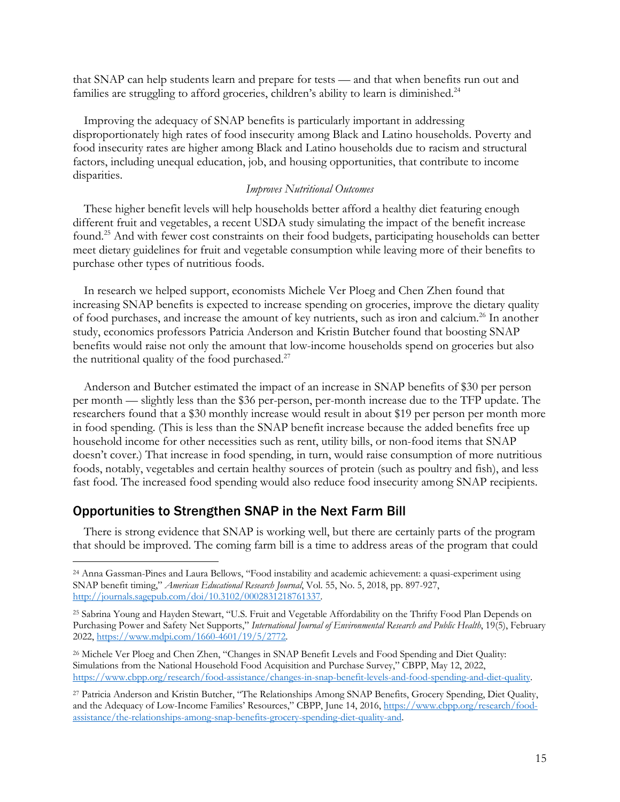that SNAP can help students learn and prepare for tests — and that when benefits run out and families are struggling to afford groceries, children's ability to learn is diminished.<sup>24</sup>

Improving the adequacy of SNAP benefits is particularly important in addressing disproportionately high rates of food insecurity among Black and Latino households. Poverty and food insecurity rates are higher among Black and Latino households due to racism and structural factors, including unequal education, job, and housing opportunities, that contribute to income disparities.

#### *Improves Nutritional Outcomes*

These higher benefit levels will help households better afford a healthy diet featuring enough different fruit and vegetables, a recent USDA study simulating the impact of the benefit increase found.25 And with fewer cost constraints on their food budgets, participating households can better meet dietary guidelines for fruit and vegetable consumption while leaving more of their benefits to purchase other types of nutritious foods.

In research we helped support, economists Michele Ver Ploeg and Chen Zhen found that increasing SNAP benefits is expected to increase spending on groceries, improve the dietary quality of food purchases, and increase the amount of key nutrients, such as iron and calcium.26 In another study, economics professors Patricia Anderson and Kristin Butcher found that boosting SNAP benefits would raise not only the amount that low-income households spend on groceries but also the nutritional quality of the food purchased. $27$ 

Anderson and Butcher estimated the impact of an increase in SNAP benefits of \$30 per person per month — slightly less than the \$36 per-person, per-month increase due to the TFP update. The researchers found that a \$30 monthly increase would result in about \$19 per person per month more in food spending. (This is less than the SNAP benefit increase because the added benefits free up household income for other necessities such as rent, utility bills, or non-food items that SNAP doesn't cover.) That increase in food spending, in turn, would raise consumption of more nutritious foods, notably, vegetables and certain healthy sources of protein (such as poultry and fish), and less fast food. The increased food spending would also reduce food insecurity among SNAP recipients.

# Opportunities to Strengthen SNAP in the Next Farm Bill

There is strong evidence that SNAP is working well, but there are certainly parts of the program that should be improved. The coming farm bill is a time to address areas of the program that could

<sup>24</sup> Anna Gassman-Pines and Laura Bellows, "Food instability and academic achievement: a quasi-experiment using SNAP benefit timing," *American Educational Research Journal*, Vol. 55, No. 5, 2018, pp. 897-927, http://journals.sagepub.com/doi/10.3102/0002831218761337.

<sup>25</sup> Sabrina Young and Hayden Stewart, "U.S. Fruit and Vegetable Affordability on the Thrifty Food Plan Depends on Purchasing Power and Safety Net Supports," *International Journal of Environmental Research and Public Health*, 19(5), February 2022, https://www.mdpi.com/1660-4601/19/5/2772.

<sup>26</sup> Michele Ver Ploeg and Chen Zhen, "Changes in SNAP Benefit Levels and Food Spending and Diet Quality: Simulations from the National Household Food Acquisition and Purchase Survey," CBPP, May 12, 2022, https://www.cbpp.org/research/food-assistance/changes-in-snap-benefit-levels-and-food-spending-and-diet-quality.

<sup>27</sup> Patricia Anderson and Kristin Butcher, "The Relationships Among SNAP Benefits, Grocery Spending, Diet Quality, and the Adequacy of Low-Income Families' Resources," CBPP, June 14, 2016, https://www.cbpp.org/research/foodassistance/the-relationships-among-snap-benefits-grocery-spending-diet-quality-and.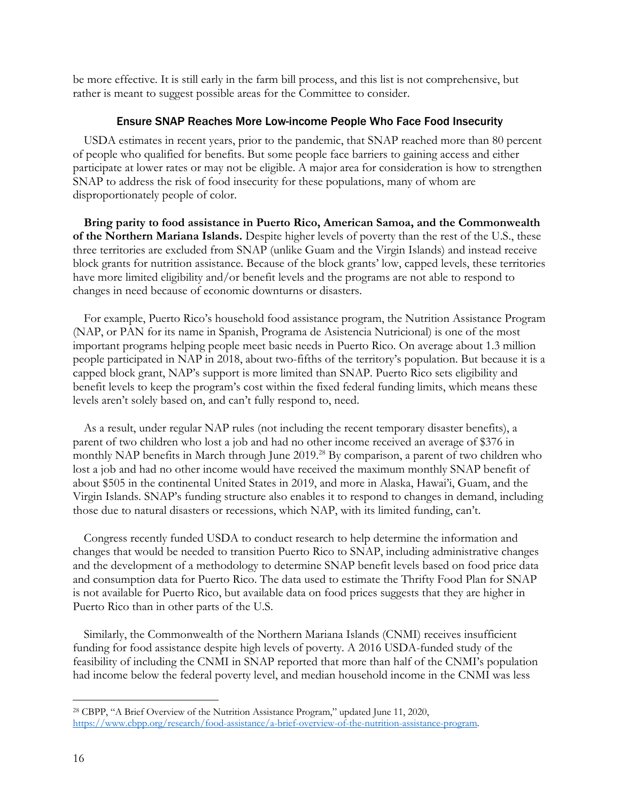be more effective. It is still early in the farm bill process, and this list is not comprehensive, but rather is meant to suggest possible areas for the Committee to consider.

#### Ensure SNAP Reaches More Low-income People Who Face Food Insecurity

USDA estimates in recent years, prior to the pandemic, that SNAP reached more than 80 percent of people who qualified for benefits. But some people face barriers to gaining access and either participate at lower rates or may not be eligible. A major area for consideration is how to strengthen SNAP to address the risk of food insecurity for these populations, many of whom are disproportionately people of color.

**Bring parity to food assistance in Puerto Rico, American Samoa, and the Commonwealth of the Northern Mariana Islands.** Despite higher levels of poverty than the rest of the U.S., these three territories are excluded from SNAP (unlike Guam and the Virgin Islands) and instead receive block grants for nutrition assistance. Because of the block grants' low, capped levels, these territories have more limited eligibility and/or benefit levels and the programs are not able to respond to changes in need because of economic downturns or disasters.

For example, Puerto Rico's household food assistance program, the Nutrition Assistance Program (NAP, or PAN for its name in Spanish, Programa de Asistencia Nutricional) is one of the most important programs helping people meet basic needs in Puerto Rico. On average about 1.3 million people participated in NAP in 2018, about two-fifths of the territory's population. But because it is a capped block grant, NAP's support is more limited than SNAP. Puerto Rico sets eligibility and benefit levels to keep the program's cost within the fixed federal funding limits, which means these levels aren't solely based on, and can't fully respond to, need.

As a result, under regular NAP rules (not including the recent temporary disaster benefits), a parent of two children who lost a job and had no other income received an average of \$376 in monthly NAP benefits in March through June 2019.<sup>28</sup> By comparison, a parent of two children who lost a job and had no other income would have received the maximum monthly SNAP benefit of about \$505 in the continental United States in 2019, and more in Alaska, Hawai'i, Guam, and the Virgin Islands. SNAP's funding structure also enables it to respond to changes in demand, including those due to natural disasters or recessions, which NAP, with its limited funding, can't.

Congress recently funded USDA to conduct research to help determine the information and changes that would be needed to transition Puerto Rico to SNAP, including administrative changes and the development of a methodology to determine SNAP benefit levels based on food price data and consumption data for Puerto Rico. The data used to estimate the Thrifty Food Plan for SNAP is not available for Puerto Rico, but available data on food prices suggests that they are higher in Puerto Rico than in other parts of the U.S.

Similarly, the Commonwealth of the Northern Mariana Islands (CNMI) receives insufficient funding for food assistance despite high levels of poverty. A 2016 USDA-funded study of the feasibility of including the CNMI in SNAP reported that more than half of the CNMI's population had income below the federal poverty level, and median household income in the CNMI was less

<sup>28</sup> CBPP, "A Brief Overview of the Nutrition Assistance Program," updated June 11, 2020, https://www.cbpp.org/research/food-assistance/a-brief-overview-of-the-nutrition-assistance-program.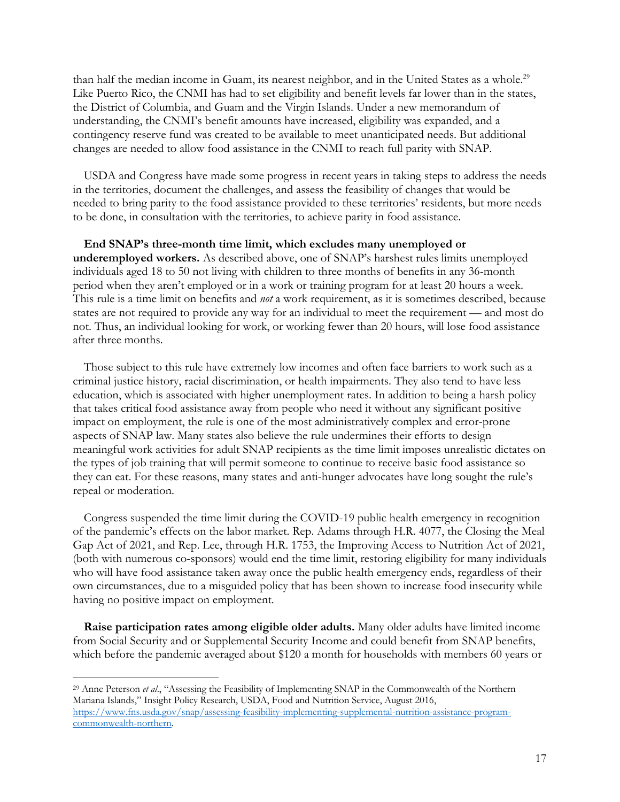than half the median income in Guam, its nearest neighbor, and in the United States as a whole.<sup>29</sup> Like Puerto Rico, the CNMI has had to set eligibility and benefit levels far lower than in the states, the District of Columbia, and Guam and the Virgin Islands. Under a new memorandum of understanding, the CNMI's benefit amounts have increased, eligibility was expanded, and a contingency reserve fund was created to be available to meet unanticipated needs. But additional changes are needed to allow food assistance in the CNMI to reach full parity with SNAP.

USDA and Congress have made some progress in recent years in taking steps to address the needs in the territories, document the challenges, and assess the feasibility of changes that would be needed to bring parity to the food assistance provided to these territories' residents, but more needs to be done, in consultation with the territories, to achieve parity in food assistance.

**End SNAP's three-month time limit, which excludes many unemployed or underemployed workers.** As described above, one of SNAP's harshest rules limits unemployed individuals aged 18 to 50 not living with children to three months of benefits in any 36-month period when they aren't employed or in a work or training program for at least 20 hours a week. This rule is a time limit on benefits and *not* a work requirement, as it is sometimes described, because states are not required to provide any way for an individual to meet the requirement — and most do not. Thus, an individual looking for work, or working fewer than 20 hours, will lose food assistance after three months.

Those subject to this rule have extremely low incomes and often face barriers to work such as a criminal justice history, racial discrimination, or health impairments. They also tend to have less education, which is associated with higher unemployment rates. In addition to being a harsh policy that takes critical food assistance away from people who need it without any significant positive impact on employment, the rule is one of the most administratively complex and error-prone aspects of SNAP law. Many states also believe the rule undermines their efforts to design meaningful work activities for adult SNAP recipients as the time limit imposes unrealistic dictates on the types of job training that will permit someone to continue to receive basic food assistance so they can eat. For these reasons, many states and anti-hunger advocates have long sought the rule's repeal or moderation.

Congress suspended the time limit during the COVID-19 public health emergency in recognition of the pandemic's effects on the labor market. Rep. Adams through H.R. 4077, the Closing the Meal Gap Act of 2021, and Rep. Lee, through H.R. 1753, the Improving Access to Nutrition Act of 2021, (both with numerous co-sponsors) would end the time limit, restoring eligibility for many individuals who will have food assistance taken away once the public health emergency ends, regardless of their own circumstances, due to a misguided policy that has been shown to increase food insecurity while having no positive impact on employment.

**Raise participation rates among eligible older adults.** Many older adults have limited income from Social Security and or Supplemental Security Income and could benefit from SNAP benefits, which before the pandemic averaged about \$120 a month for households with members 60 years or

<sup>29</sup> Anne Peterson *et al*., "Assessing the Feasibility of Implementing SNAP in the Commonwealth of the Northern Mariana Islands," Insight Policy Research, USDA, Food and Nutrition Service, August 2016, https://www.fns.usda.gov/snap/assessing-feasibility-implementing-supplemental-nutrition-assistance-programcommonwealth-northern.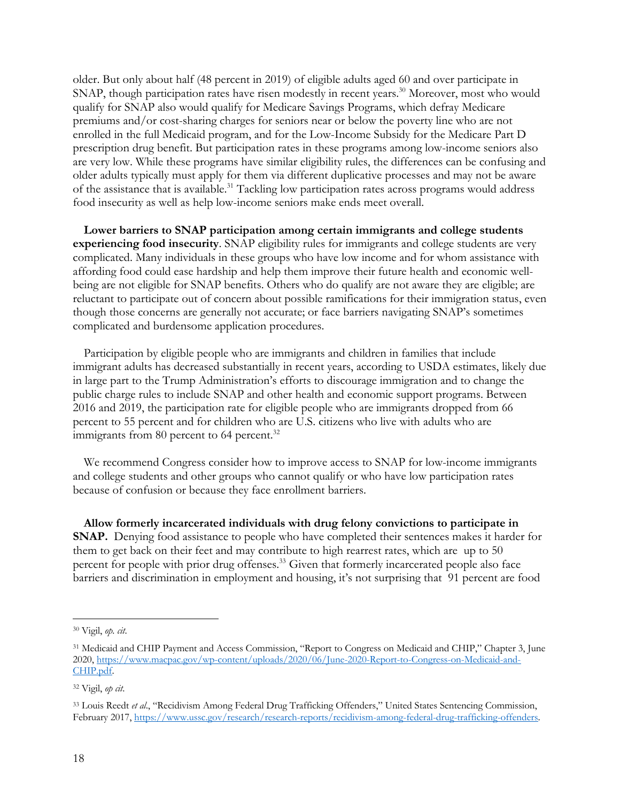older. But only about half (48 percent in 2019) of eligible adults aged 60 and over participate in SNAP, though participation rates have risen modestly in recent years. <sup>30</sup> Moreover, most who would qualify for SNAP also would qualify for Medicare Savings Programs, which defray Medicare premiums and/or cost-sharing charges for seniors near or below the poverty line who are not enrolled in the full Medicaid program, and for the Low-Income Subsidy for the Medicare Part D prescription drug benefit. But participation rates in these programs among low-income seniors also are very low. While these programs have similar eligibility rules, the differences can be confusing and older adults typically must apply for them via different duplicative processes and may not be aware of the assistance that is available. <sup>31</sup> Tackling low participation rates across programs would address food insecurity as well as help low-income seniors make ends meet overall.

**Lower barriers to SNAP participation among certain immigrants and college students experiencing food insecurity**. SNAP eligibility rules for immigrants and college students are very complicated. Many individuals in these groups who have low income and for whom assistance with affording food could ease hardship and help them improve their future health and economic wellbeing are not eligible for SNAP benefits. Others who do qualify are not aware they are eligible; are reluctant to participate out of concern about possible ramifications for their immigration status, even though those concerns are generally not accurate; or face barriers navigating SNAP's sometimes complicated and burdensome application procedures.

Participation by eligible people who are immigrants and children in families that include immigrant adults has decreased substantially in recent years, according to USDA estimates, likely due in large part to the Trump Administration's efforts to discourage immigration and to change the public charge rules to include SNAP and other health and economic support programs. Between 2016 and 2019, the participation rate for eligible people who are immigrants dropped from 66 percent to 55 percent and for children who are U.S. citizens who live with adults who are immigrants from 80 percent to 64 percent.<sup>32</sup>

We recommend Congress consider how to improve access to SNAP for low-income immigrants and college students and other groups who cannot qualify or who have low participation rates because of confusion or because they face enrollment barriers.

**Allow formerly incarcerated individuals with drug felony convictions to participate in SNAP.** Denying food assistance to people who have completed their sentences makes it harder for them to get back on their feet and may contribute to high rearrest rates, which are up to 50 percent for people with prior drug offenses.<sup>33</sup> Given that formerly incarcerated people also face barriers and discrimination in employment and housing, it's not surprising that 91 percent are food

<sup>30</sup> Vigil, *op. cit*.

<sup>31</sup> Medicaid and CHIP Payment and Access Commission, "Report to Congress on Medicaid and CHIP," Chapter 3, June 2020, https://www.macpac.gov/wp-content/uploads/2020/06/June-2020-Report-to-Congress-on-Medicaid-and-CHIP.pdf.

<sup>32</sup> Vigil, *op cit*.

<sup>33</sup> Louis Reedt *et al*., "Recidivism Among Federal Drug Trafficking Offenders," United States Sentencing Commission, February 2017, https://www.ussc.gov/research/research-reports/recidivism-among-federal-drug-trafficking-offenders.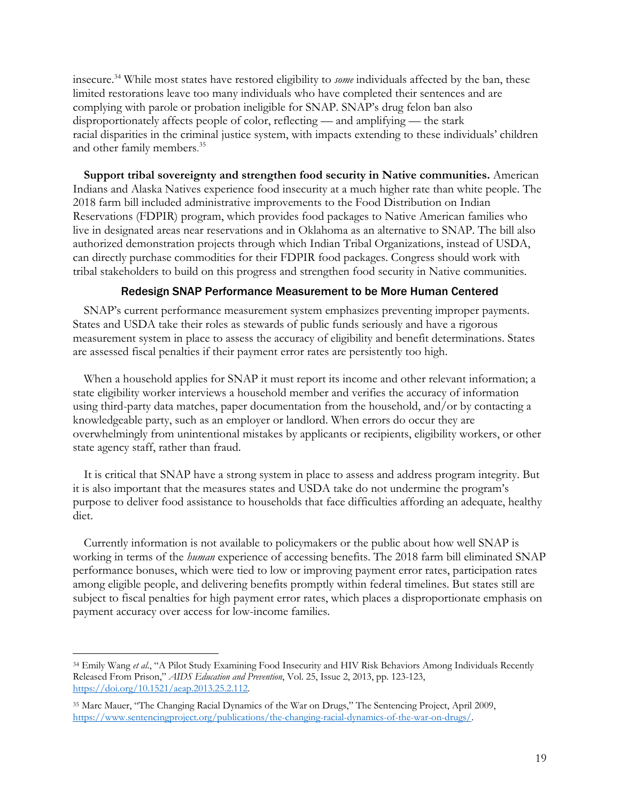insecure.34 While most states have restored eligibility to *some* individuals affected by the ban, these limited restorations leave too many individuals who have completed their sentences and are complying with parole or probation ineligible for SNAP. SNAP's drug felon ban also disproportionately affects people of color, reflecting — and amplifying — the stark racial disparities in the criminal justice system, with impacts extending to these individuals' children and other family members. 35

**Support tribal sovereignty and strengthen food security in Native communities.** American Indians and Alaska Natives experience food insecurity at a much higher rate than white people. The 2018 farm bill included administrative improvements to the Food Distribution on Indian Reservations (FDPIR) program, which provides food packages to Native American families who live in designated areas near reservations and in Oklahoma as an alternative to SNAP. The bill also authorized demonstration projects through which Indian Tribal Organizations, instead of USDA, can directly purchase commodities for their FDPIR food packages. Congress should work with tribal stakeholders to build on this progress and strengthen food security in Native communities.

### Redesign SNAP Performance Measurement to be More Human Centered

SNAP's current performance measurement system emphasizes preventing improper payments. States and USDA take their roles as stewards of public funds seriously and have a rigorous measurement system in place to assess the accuracy of eligibility and benefit determinations. States are assessed fiscal penalties if their payment error rates are persistently too high.

When a household applies for SNAP it must report its income and other relevant information; a state eligibility worker interviews a household member and verifies the accuracy of information using third-party data matches, paper documentation from the household, and/or by contacting a knowledgeable party, such as an employer or landlord. When errors do occur they are overwhelmingly from unintentional mistakes by applicants or recipients, eligibility workers, or other state agency staff, rather than fraud.

It is critical that SNAP have a strong system in place to assess and address program integrity. But it is also important that the measures states and USDA take do not undermine the program's purpose to deliver food assistance to households that face difficulties affording an adequate, healthy diet.

Currently information is not available to policymakers or the public about how well SNAP is working in terms of the *human* experience of accessing benefits. The 2018 farm bill eliminated SNAP performance bonuses, which were tied to low or improving payment error rates, participation rates among eligible people, and delivering benefits promptly within federal timelines. But states still are subject to fiscal penalties for high payment error rates, which places a disproportionate emphasis on payment accuracy over access for low-income families.

<sup>34</sup> Emily Wang *et al*., "A Pilot Study Examining Food Insecurity and HIV Risk Behaviors Among Individuals Recently Released From Prison," *AIDS Education and Prevention*, Vol. 25, Issue 2, 2013, pp. 123-123, https://doi.org/10.1521/aeap.2013.25.2.112.

<sup>&</sup>lt;sup>35</sup> Marc Mauer, "The Changing Racial Dynamics of the War on Drugs," The Sentencing Project, April 2009, https://www.sentencingproject.org/publications/the-changing-racial-dynamics-of-the-war-on-drugs/.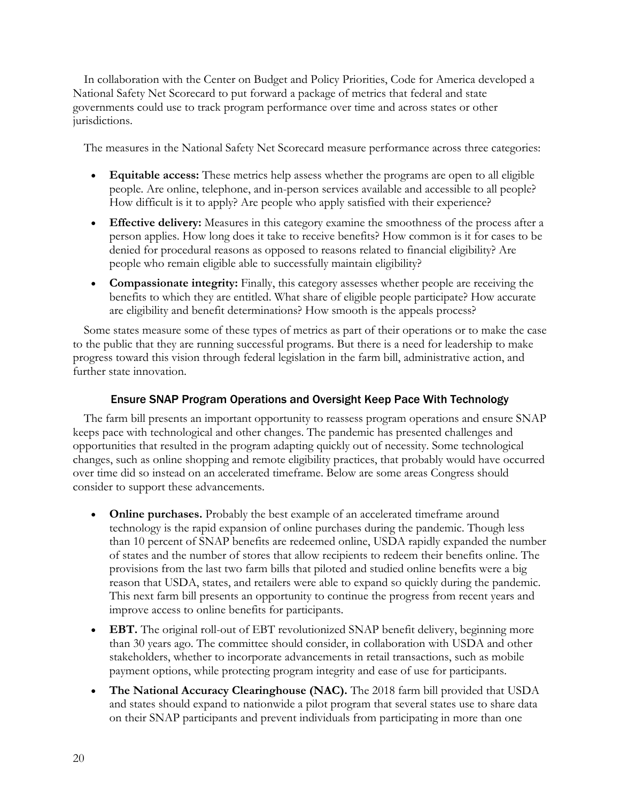In collaboration with the Center on Budget and Policy Priorities, Code for America developed a National Safety Net Scorecard to put forward a package of metrics that federal and state governments could use to track program performance over time and across states or other jurisdictions.

The measures in the National Safety Net Scorecard measure performance across three categories:

- **Equitable access:** These metrics help assess whether the programs are open to all eligible people. Are online, telephone, and in-person services available and accessible to all people? How difficult is it to apply? Are people who apply satisfied with their experience?
- **Effective delivery:** Measures in this category examine the smoothness of the process after a person applies. How long does it take to receive benefits? How common is it for cases to be denied for procedural reasons as opposed to reasons related to financial eligibility? Are people who remain eligible able to successfully maintain eligibility?
- **Compassionate integrity:** Finally, this category assesses whether people are receiving the benefits to which they are entitled. What share of eligible people participate? How accurate are eligibility and benefit determinations? How smooth is the appeals process?

Some states measure some of these types of metrics as part of their operations or to make the case to the public that they are running successful programs. But there is a need for leadership to make progress toward this vision through federal legislation in the farm bill, administrative action, and further state innovation.

### Ensure SNAP Program Operations and Oversight Keep Pace With Technology

The farm bill presents an important opportunity to reassess program operations and ensure SNAP keeps pace with technological and other changes. The pandemic has presented challenges and opportunities that resulted in the program adapting quickly out of necessity. Some technological changes, such as online shopping and remote eligibility practices, that probably would have occurred over time did so instead on an accelerated timeframe. Below are some areas Congress should consider to support these advancements.

- **Online purchases.** Probably the best example of an accelerated timeframe around technology is the rapid expansion of online purchases during the pandemic. Though less than 10 percent of SNAP benefits are redeemed online, USDA rapidly expanded the number of states and the number of stores that allow recipients to redeem their benefits online. The provisions from the last two farm bills that piloted and studied online benefits were a big reason that USDA, states, and retailers were able to expand so quickly during the pandemic. This next farm bill presents an opportunity to continue the progress from recent years and improve access to online benefits for participants.
- **EBT.** The original roll-out of EBT revolutionized SNAP benefit delivery, beginning more than 30 years ago. The committee should consider, in collaboration with USDA and other stakeholders, whether to incorporate advancements in retail transactions, such as mobile payment options, while protecting program integrity and ease of use for participants.
- **The National Accuracy Clearinghouse (NAC).** The 2018 farm bill provided that USDA and states should expand to nationwide a pilot program that several states use to share data on their SNAP participants and prevent individuals from participating in more than one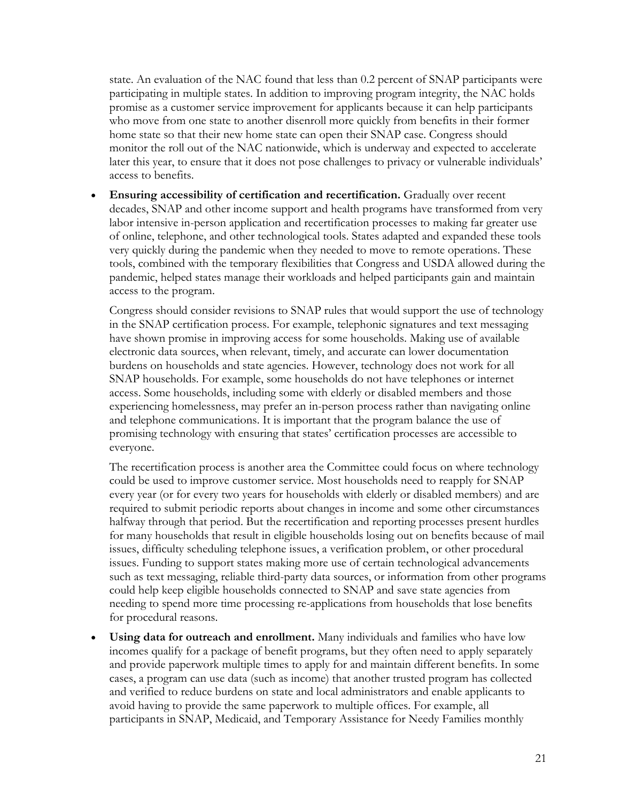state. An evaluation of the NAC found that less than 0.2 percent of SNAP participants were participating in multiple states. In addition to improving program integrity, the NAC holds promise as a customer service improvement for applicants because it can help participants who move from one state to another disenroll more quickly from benefits in their former home state so that their new home state can open their SNAP case. Congress should monitor the roll out of the NAC nationwide, which is underway and expected to accelerate later this year, to ensure that it does not pose challenges to privacy or vulnerable individuals' access to benefits.

• **Ensuring accessibility of certification and recertification.** Gradually over recent decades, SNAP and other income support and health programs have transformed from very labor intensive in-person application and recertification processes to making far greater use of online, telephone, and other technological tools. States adapted and expanded these tools very quickly during the pandemic when they needed to move to remote operations. These tools, combined with the temporary flexibilities that Congress and USDA allowed during the pandemic, helped states manage their workloads and helped participants gain and maintain access to the program.

Congress should consider revisions to SNAP rules that would support the use of technology in the SNAP certification process. For example, telephonic signatures and text messaging have shown promise in improving access for some households. Making use of available electronic data sources, when relevant, timely, and accurate can lower documentation burdens on households and state agencies. However, technology does not work for all SNAP households. For example, some households do not have telephones or internet access. Some households, including some with elderly or disabled members and those experiencing homelessness, may prefer an in-person process rather than navigating online and telephone communications. It is important that the program balance the use of promising technology with ensuring that states' certification processes are accessible to everyone.

The recertification process is another area the Committee could focus on where technology could be used to improve customer service. Most households need to reapply for SNAP every year (or for every two years for households with elderly or disabled members) and are required to submit periodic reports about changes in income and some other circumstances halfway through that period. But the recertification and reporting processes present hurdles for many households that result in eligible households losing out on benefits because of mail issues, difficulty scheduling telephone issues, a verification problem, or other procedural issues. Funding to support states making more use of certain technological advancements such as text messaging, reliable third-party data sources, or information from other programs could help keep eligible households connected to SNAP and save state agencies from needing to spend more time processing re-applications from households that lose benefits for procedural reasons.

• **Using data for outreach and enrollment.** Many individuals and families who have low incomes qualify for a package of benefit programs, but they often need to apply separately and provide paperwork multiple times to apply for and maintain different benefits. In some cases, a program can use data (such as income) that another trusted program has collected and verified to reduce burdens on state and local administrators and enable applicants to avoid having to provide the same paperwork to multiple offices. For example, all participants in SNAP, Medicaid, and Temporary Assistance for Needy Families monthly